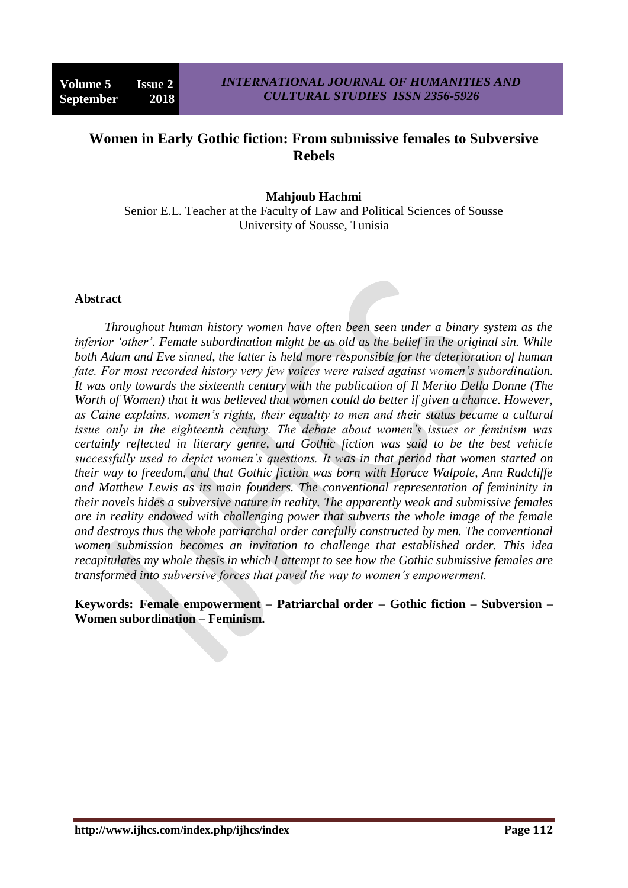# **Women in Early Gothic fiction: From submissive females to Subversive Rebels**

## **Mahjoub Hachmi**

Senior E.L. Teacher at the Faculty of Law and Political Sciences of Sousse University of Sousse, Tunisia

#### **Abstract**

*Throughout human history women have often been seen under a binary system as the inferior 'other'. Female subordination might be as old as the belief in the original sin. While both Adam and Eve sinned, the latter is held more responsible for the deterioration of human fate. For most recorded history very few voices were raised against women's subordination. It was only towards the sixteenth century with the publication of Il Merito Della Donne (The Worth of Women) that it was believed that women could do better if given a chance. However, as Caine explains, women's rights, their equality to men and their status became a cultural issue only in the eighteenth century. The debate about women's issues or feminism was certainly reflected in literary genre, and Gothic fiction was said to be the best vehicle successfully used to depict women's questions. It was in that period that women started on their way to freedom, and that Gothic fiction was born with Horace Walpole, Ann Radcliffe and Matthew Lewis as its main founders. The conventional representation of femininity in their novels hides a subversive nature in reality. The apparently weak and submissive females are in reality endowed with challenging power that subverts the whole image of the female and destroys thus the whole patriarchal order carefully constructed by men. The conventional women submission becomes an invitation to challenge that established order. This idea recapitulates my whole thesis in which I attempt to see how the Gothic submissive females are transformed into subversive forces that paved the way to women's empowerment.* 

### **Keywords: Female empowerment – Patriarchal order – Gothic fiction – Subversion – Women subordination – Feminism.**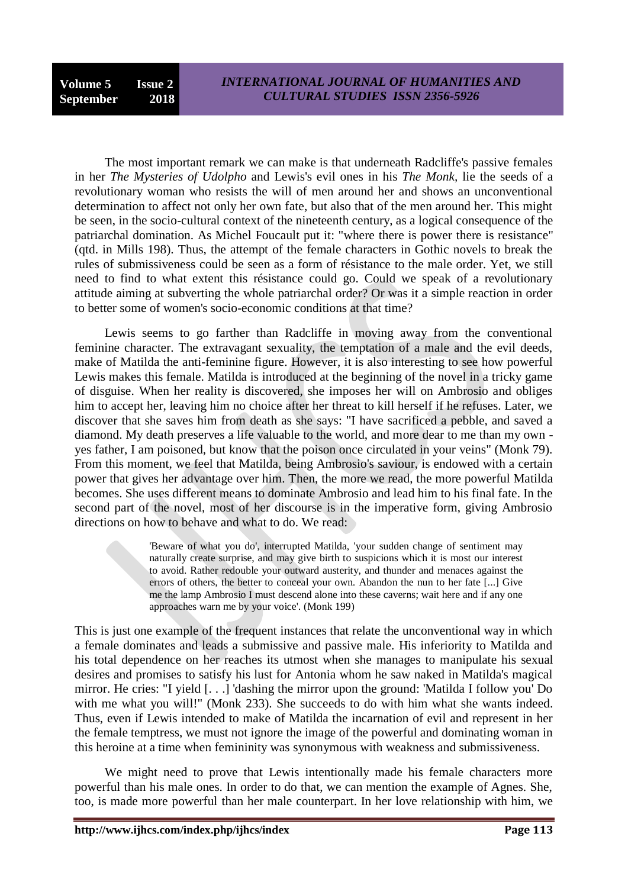The most important remark we can make is that underneath Radcliffe's passive females in her *The Mysteries of Udolpho* and Lewis's evil ones in his *The Monk,* lie the seeds of a revolutionary woman who resists the will of men around her and shows an unconventional determination to affect not only her own fate, but also that of the men around her. This might be seen, in the socio-cultural context of the nineteenth century, as a logical consequence of the patriarchal domination. As Michel Foucault put it: "where there is power there is resistance" (qtd. in Mills 198). Thus, the attempt of the female characters in Gothic novels to break the rules of submissiveness could be seen as a form of résistance to the male order. Yet, we still need to find to what extent this résistance could go. Could we speak of a revolutionary attitude aiming at subverting the whole patriarchal order? Or was it a simple reaction in order to better some of women's socio-economic conditions at that time?

Lewis seems to go farther than Radcliffe in moving away from the conventional feminine character. The extravagant sexuality, the temptation of a male and the evil deeds, make of Matilda the anti-feminine figure. However, it is also interesting to see how powerful Lewis makes this female. Matilda is introduced at the beginning of the novel in a tricky game of disguise. When her reality is discovered, she imposes her will on Ambrosio and obliges him to accept her, leaving him no choice after her threat to kill herself if he refuses. Later, we discover that she saves him from death as she says: "I have sacrificed a pebble, and saved a diamond. My death preserves a life valuable to the world, and more dear to me than my own yes father, I am poisoned, but know that the poison once circulated in your veins" (Monk 79). From this moment, we feel that Matilda, being Ambrosio's saviour, is endowed with a certain power that gives her advantage over him. Then, the more we read, the more powerful Matilda becomes. She uses different means to dominate Ambrosio and lead him to his final fate. In the second part of the novel, most of her discourse is in the imperative form, giving Ambrosio directions on how to behave and what to do. We read:

> 'Beware of what you do', interrupted Matilda, 'your sudden change of sentiment may naturally create surprise, and may give birth to suspicions which it is most our interest to avoid. Rather redouble your outward austerity, and thunder and menaces against the errors of others, the better to conceal your own. Abandon the nun to her fate [...] Give me the lamp Ambrosio I must descend alone into these caverns; wait here and if any one approaches warn me by your voice'. (Monk 199)

This is just one example of the frequent instances that relate the unconventional way in which a female dominates and leads a submissive and passive male. His inferiority to Matilda and his total dependence on her reaches its utmost when she manages to manipulate his sexual desires and promises to satisfy his lust for Antonia whom he saw naked in Matilda's magical mirror. He cries: "I yield [. . .] 'dashing the mirror upon the ground: 'Matilda I follow you' Do with me what you will!" (Monk 233). She succeeds to do with him what she wants indeed. Thus, even if Lewis intended to make of Matilda the incarnation of evil and represent in her the female temptress, we must not ignore the image of the powerful and dominating woman in this heroine at a time when femininity was synonymous with weakness and submissiveness.

We might need to prove that Lewis intentionally made his female characters more powerful than his male ones. In order to do that, we can mention the example of Agnes. She, too, is made more powerful than her male counterpart. In her love relationship with him, we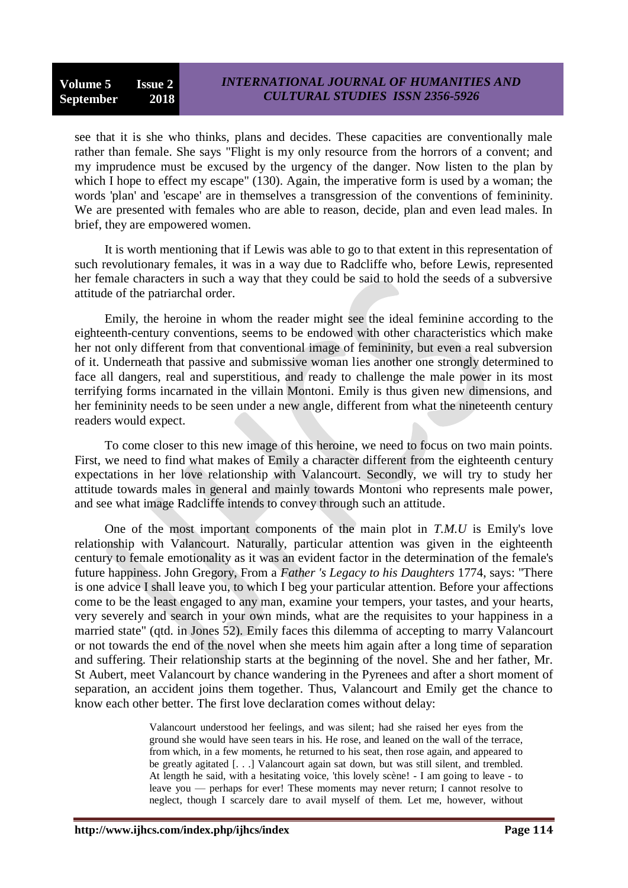see that it is she who thinks, plans and decides. These capacities are conventionally male rather than female. She says "Flight is my only resource from the horrors of a convent; and my imprudence must be excused by the urgency of the danger. Now listen to the plan by which I hope to effect my escape" (130). Again, the imperative form is used by a woman; the words 'plan' and 'escape' are in themselves a transgression of the conventions of femininity. We are presented with females who are able to reason, decide, plan and even lead males. In brief, they are empowered women.

It is worth mentioning that if Lewis was able to go to that extent in this representation of such revolutionary females, it was in a way due to Radcliffe who, before Lewis, represented her female characters in such a way that they could be said to hold the seeds of a subversive attitude of the patriarchal order.

Emily, the heroine in whom the reader might see the ideal feminine according to the eighteenth-century conventions, seems to be endowed with other characteristics which make her not only different from that conventional image of femininity, but even a real subversion of it. Underneath that passive and submissive woman lies another one strongly determined to face all dangers, real and superstitious, and ready to challenge the male power in its most terrifying forms incarnated in the villain Montoni. Emily is thus given new dimensions, and her femininity needs to be seen under a new angle, different from what the nineteenth century readers would expect.

To come closer to this new image of this heroine, we need to focus on two main points. First, we need to find what makes of Emily a character different from the eighteenth century expectations in her love relationship with Valancourt. Secondly, we will try to study her attitude towards males in general and mainly towards Montoni who represents male power, and see what image Radcliffe intends to convey through such an attitude.

One of the most important components of the main plot in *T.M.U* is Emily's love relationship with Valancourt. Naturally, particular attention was given in the eighteenth century to female emotionality as it was an evident factor in the determination of the female's future happiness. John Gregory, From a *Father 's Legacy to his Daughters* 1774, says: "There is one advice I shall leave you, to which I beg your particular attention. Before your affections come to be the least engaged to any man, examine your tempers, your tastes, and your hearts, very severely and search in your own minds, what are the requisites to your happiness in a married state" (qtd. in Jones 52). Emily faces this dilemma of accepting to marry Valancourt or not towards the end of the novel when she meets him again after a long time of separation and suffering. Their relationship starts at the beginning of the novel. She and her father, Mr. St Aubert, meet Valancourt by chance wandering in the Pyrenees and after a short moment of separation, an accident joins them together. Thus, Valancourt and Emily get the chance to know each other better. The first love declaration comes without delay:

> Valancourt understood her feelings, and was silent; had she raised her eyes from the ground she would have seen tears in his. He rose, and leaned on the wall of the terrace, from which, in a few moments, he returned to his seat, then rose again, and appeared to be greatly agitated [. . .] Valancourt again sat down, but was still silent, and trembled. At length he said, with a hesitating voice, 'this lovely scène! - I am going to leave - to leave you — perhaps for ever! These moments may never return; I cannot resolve to neglect, though I scarcely dare to avail myself of them. Let me, however, without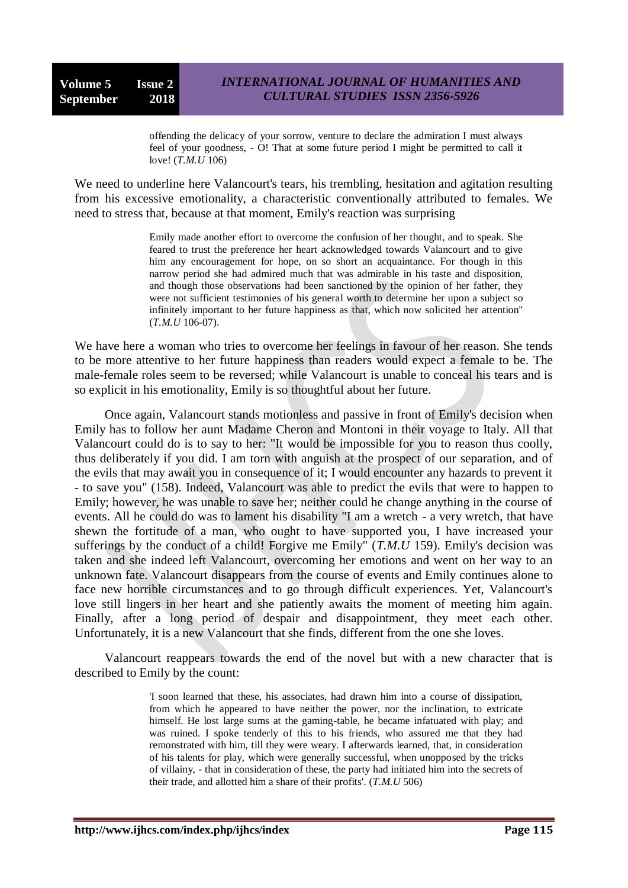offending the delicacy of your sorrow, venture to declare the admiration I must always feel of your goodness, - O! That at some future period I might be permitted to call it love! (*T.M.U* 106)

We need to underline here Valancourt's tears, his trembling, hesitation and agitation resulting from his excessive emotionality, a characteristic conventionally attributed to females. We need to stress that, because at that moment, Emily's reaction was surprising

> Emily made another effort to overcome the confusion of her thought, and to speak. She feared to trust the preference her heart acknowledged towards Valancourt and to give him any encouragement for hope, on so short an acquaintance. For though in this narrow period she had admired much that was admirable in his taste and disposition, and though those observations had been sanctioned by the opinion of her father, they were not sufficient testimonies of his general worth to determine her upon a subject so infinitely important to her future happiness as that, which now solicited her attention" (*T.M.U* 106-07).

We have here a woman who tries to overcome her feelings in favour of her reason. She tends to be more attentive to her future happiness than readers would expect a female to be. The male-female roles seem to be reversed; while Valancourt is unable to conceal his tears and is so explicit in his emotionality, Emily is so thoughtful about her future.

Once again, Valancourt stands motionless and passive in front of Emily's decision when Emily has to follow her aunt Madame Cheron and Montoni in their voyage to Italy. All that Valancourt could do is to say to her: "It would be impossible for you to reason thus coolly, thus deliberately if you did. I am torn with anguish at the prospect of our separation, and of the evils that may await you in consequence of it; I would encounter any hazards to prevent it - to save you" (158). Indeed, Valancourt was able to predict the evils that were to happen to Emily; however, he was unable to save her; neither could he change anything in the course of events. All he could do was to lament his disability "I am a wretch - a very wretch, that have shewn the fortitude of a man, who ought to have supported you, I have increased your sufferings by the conduct of a child! Forgive me Emily" (*T.M.U* 159). Emily's decision was taken and she indeed left Valancourt, overcoming her emotions and went on her way to an unknown fate. Valancourt disappears from the course of events and Emily continues alone to face new horrible circumstances and to go through difficult experiences. Yet, Valancourt's love still lingers in her heart and she patiently awaits the moment of meeting him again. Finally, after a long period of despair and disappointment, they meet each other. Unfortunately, it is a new Valancourt that she finds, different from the one she loves.

Valancourt reappears towards the end of the novel but with a new character that is described to Emily by the count:

> 'I soon learned that these, his associates, had drawn him into a course of dissipation, from which he appeared to have neither the power, nor the inclination, to extricate himself. He lost large sums at the gaming-table, he became infatuated with play; and was ruined. I spoke tenderly of this to his friends, who assured me that they had remonstrated with him, till they were weary. I afterwards learned, that, in consideration of his talents for play, which were generally successful, when unopposed by the tricks of villainy, - that in consideration of these, the party had initiated him into the secrets of their trade, and allotted him a share of their profits'. (*T.M.U* 506)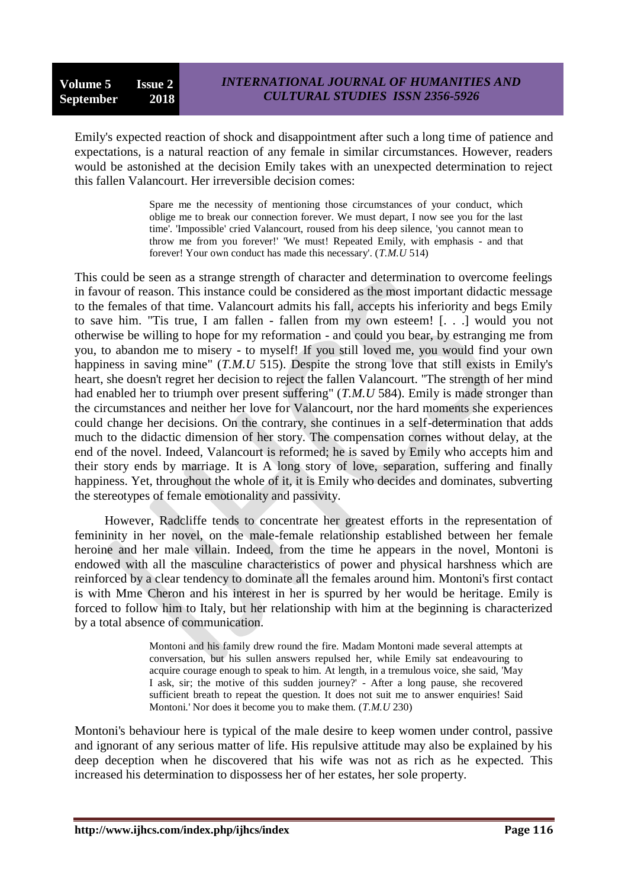Emily's expected reaction of shock and disappointment after such a long time of patience and expectations, is a natural reaction of any female in similar circumstances. However, readers would be astonished at the decision Emily takes with an unexpected determination to reject this fallen Valancourt. Her irreversible decision comes:

> Spare me the necessity of mentioning those circumstances of your conduct, which oblige me to break our connection forever. We must depart, I now see you for the last time'. 'Impossible' cried Valancourt, roused from his deep silence, 'you cannot mean to throw me from you forever!' 'We must! Repeated Emily, with emphasis - and that forever! Your own conduct has made this necessary'. (*T.M.U* 514)

This could be seen as a strange strength of character and determination to overcome feelings in favour of reason. This instance could be considered as the most important didactic message to the females of that time. Valancourt admits his fall, accepts his inferiority and begs Emily to save him. "Tis true, I am fallen - fallen from my own esteem! [. . .] would you not otherwise be willing to hope for my reformation - and could you bear, by estranging me from you, to abandon me to misery - to myself! If you still loved me, you would find your own happiness in saving mine" (*T.M.U* 515). Despite the strong love that still exists in Emily's heart, she doesn't regret her decision to reject the fallen Valancourt. "The strength of her mind had enabled her to triumph over present suffering" (*T.M.U* 584). Emily is made stronger than the circumstances and neither her love for Valancourt, nor the hard moments she experiences could change her decisions. On the contrary, she continues in a self-determination that adds much to the didactic dimension of her story. The compensation cornes without delay, at the end of the novel. Indeed, Valancourt is reformed; he is saved by Emily who accepts him and their story ends by marriage. It is A long story of love, separation, suffering and finally happiness. Yet, throughout the whole of it, it is Emily who decides and dominates, subverting the stereotypes of female emotionality and passivity.

However, Radcliffe tends to concentrate her greatest efforts in the representation of femininity in her novel, on the male-female relationship established between her female heroine and her male villain. Indeed, from the time he appears in the novel, Montoni is endowed with all the masculine characteristics of power and physical harshness which are reinforced by a clear tendency to dominate all the females around him. Montoni's first contact is with Mme Cheron and his interest in her is spurred by her would be heritage. Emily is forced to follow him to Italy, but her relationship with him at the beginning is characterized by a total absence of communication.

> Montoni and his family drew round the fire. Madam Montoni made several attempts at conversation, but his sullen answers repulsed her, while Emily sat endeavouring to acquire courage enough to speak to him. At length, in a tremulous voice, she said, 'May I ask, sir; the motive of this sudden journey?' - After a long pause, she recovered sufficient breath to repeat the question. It does not suit me to answer enquiries! Said Montoni.' Nor does it become you to make them. (*T.M.U* 230)

Montoni's behaviour here is typical of the male desire to keep women under control, passive and ignorant of any serious matter of life. His repulsive attitude may also be explained by his deep deception when he discovered that his wife was not as rich as he expected. This increased his determination to dispossess her of her estates, her sole property.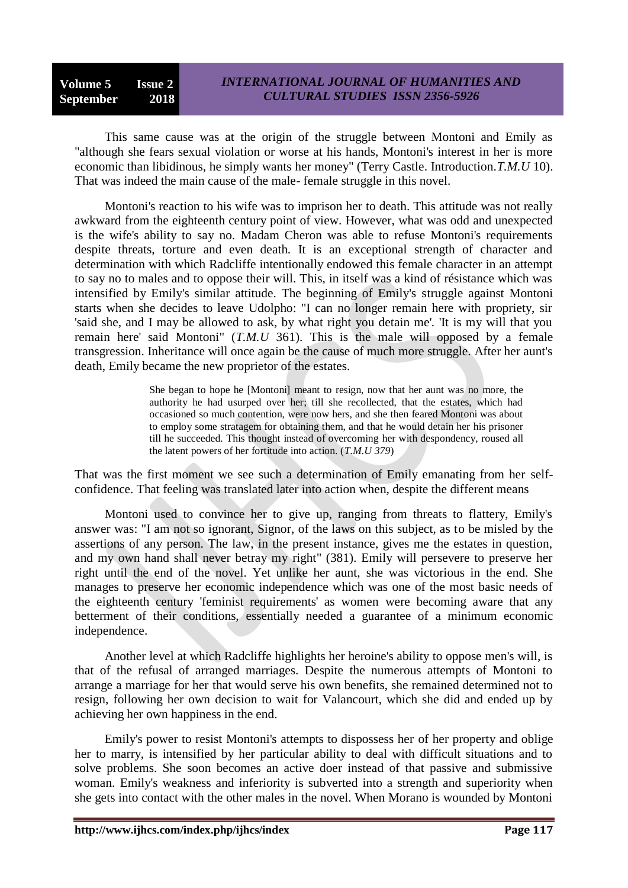This same cause was at the origin of the struggle between Montoni and Emily as "although she fears sexual violation or worse at his hands, Montoni's interest in her is more economic than libidinous, he simply wants her money" (Terry Castle. Introduction.*T.M.U* 10). That was indeed the main cause of the male- female struggle in this novel.

Montoni's reaction to his wife was to imprison her to death. This attitude was not really awkward from the eighteenth century point of view. However, what was odd and unexpected is the wife's ability to say no. Madam Cheron was able to refuse Montoni's requirements despite threats, torture and even death. It is an exceptional strength of character and determination with which Radcliffe intentionally endowed this female character in an attempt to say no to males and to oppose their will. This, in itself was a kind of résistance which was intensified by Emily's similar attitude. The beginning of Emily's struggle against Montoni starts when she decides to leave Udolpho: "I can no longer remain here with propriety, sir 'said she, and I may be allowed to ask, by what right you detain me'. 'It is my will that you remain here' said Montoni" (*T.M.U* 361). This is the male will opposed by a female transgression. Inheritance will once again be the cause of much more struggle. After her aunt's death, Emily became the new proprietor of the estates.

> She began to hope he [Montoni] meant to resign, now that her aunt was no more, the authority he had usurped over her; till she recollected, that the estates, which had occasioned so much contention, were now hers, and she then feared Montoni was about to employ some stratagem for obtaining them, and that he would detain her his prisoner till he succeeded. This thought instead of overcoming her with despondency, roused all the latent powers of her fortitude into action. (*T.M.U 379*)

That was the first moment we see such a determination of Emily emanating from her selfconfidence. That feeling was translated later into action when, despite the different means

Montoni used to convince her to give up, ranging from threats to flattery, Emily's answer was: "I am not so ignorant, Signor, of the laws on this subject, as to be misled by the assertions of any person. The law, in the present instance, gives me the estates in question, and my own hand shall never betray my right" (381). Emily will persevere to preserve her right until the end of the novel. Yet unlike her aunt, she was victorious in the end. She manages to preserve her economic independence which was one of the most basic needs of the eighteenth century 'feminist requirements' as women were becoming aware that any betterment of their conditions, essentially needed a guarantee of a minimum economic independence.

Another level at which Radcliffe highlights her heroine's ability to oppose men's will, is that of the refusal of arranged marriages. Despite the numerous attempts of Montoni to arrange a marriage for her that would serve his own benefits, she remained determined not to resign, following her own decision to wait for Valancourt, which she did and ended up by achieving her own happiness in the end.

Emily's power to resist Montoni's attempts to dispossess her of her property and oblige her to marry, is intensified by her particular ability to deal with difficult situations and to solve problems. She soon becomes an active doer instead of that passive and submissive woman. Emily's weakness and inferiority is subverted into a strength and superiority when she gets into contact with the other males in the novel. When Morano is wounded by Montoni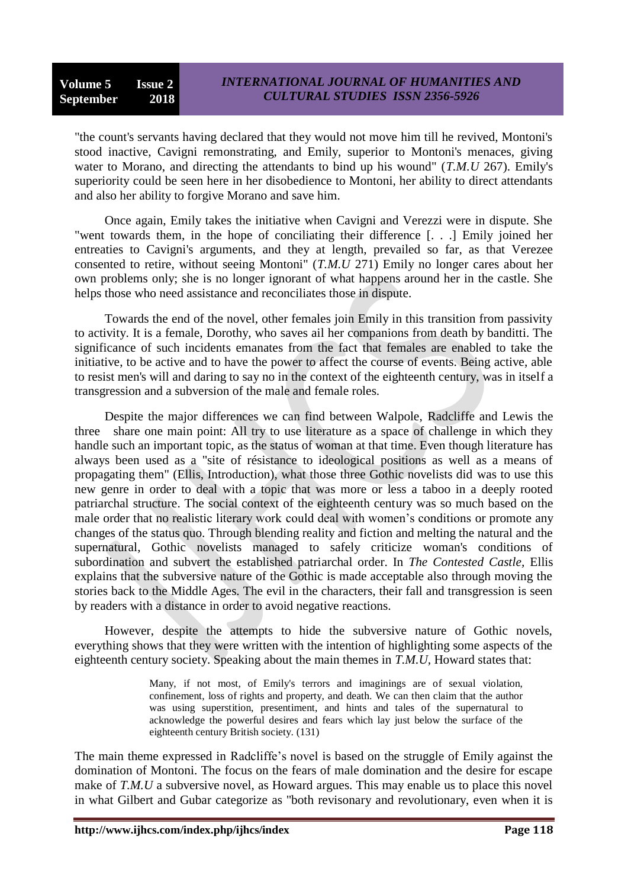"the count's servants having declared that they would not move him till he revived, Montoni's stood inactive, Cavigni remonstrating, and Emily, superior to Montoni's menaces, giving water to Morano, and directing the attendants to bind up his wound" (*T.M.U* 267). Emily's superiority could be seen here in her disobedience to Montoni, her ability to direct attendants and also her ability to forgive Morano and save him.

Once again, Emily takes the initiative when Cavigni and Verezzi were in dispute. She "went towards them, in the hope of conciliating their difference [. . .] Emily joined her entreaties to Cavigni's arguments, and they at length, prevailed so far, as that Verezee consented to retire, without seeing Montoni" (*T.M.U* 271) Emily no longer cares about her own problems only; she is no longer ignorant of what happens around her in the castle. She helps those who need assistance and reconciliates those in dispute.

Towards the end of the novel, other females join Emily in this transition from passivity to activity. It is a female, Dorothy, who saves ail her companions from death by banditti. The significance of such incidents emanates from the fact that females are enabled to take the initiative, to be active and to have the power to affect the course of events. Being active, able to resist men's will and daring to say no in the context of the eighteenth century, was in itself a transgression and a subversion of the male and female roles.

Despite the major differences we can find between Walpole, Radcliffe and Lewis the three share one main point: All try to use literature as a space of challenge in which they handle such an important topic, as the status of woman at that time. Even though literature has always been used as a "site of résistance to ideological positions as well as a means of propagating them" (Ellis, Introduction), what those three Gothic novelists did was to use this new genre in order to deal with a topic that was more or less a taboo in a deeply rooted patriarchal structure. The social context of the eighteenth century was so much based on the male order that no realistic literary work could deal with women's conditions or promote any changes of the status quo. Through blending reality and fiction and melting the natural and the supernatural, Gothic novelists managed to safely criticize woman's conditions of subordination and subvert the established patriarchal order. In *The Contested Castle,* Ellis explains that the subversive nature of the Gothic is made acceptable also through moving the stories back to the Middle Ages. The evil in the characters, their fall and transgression is seen by readers with a distance in order to avoid negative reactions.

However, despite the attempts to hide the subversive nature of Gothic novels, everything shows that they were written with the intention of highlighting some aspects of the eighteenth century society. Speaking about the main themes in *T.M.U,* Howard states that:

> Many, if not most, of Emily's terrors and imaginings are of sexual violation, confinement, loss of rights and property, and death. We can then claim that the author was using superstition, presentiment, and hints and tales of the supernatural to acknowledge the powerful desires and fears which lay just below the surface of the eighteenth century British society. (131)

The main theme expressed in Radcliffe's novel is based on the struggle of Emily against the domination of Montoni. The focus on the fears of male domination and the desire for escape make of *T.M.U* a subversive novel, as Howard argues. This may enable us to place this novel in what Gilbert and Gubar categorize as "both revisonary and revolutionary, even when it is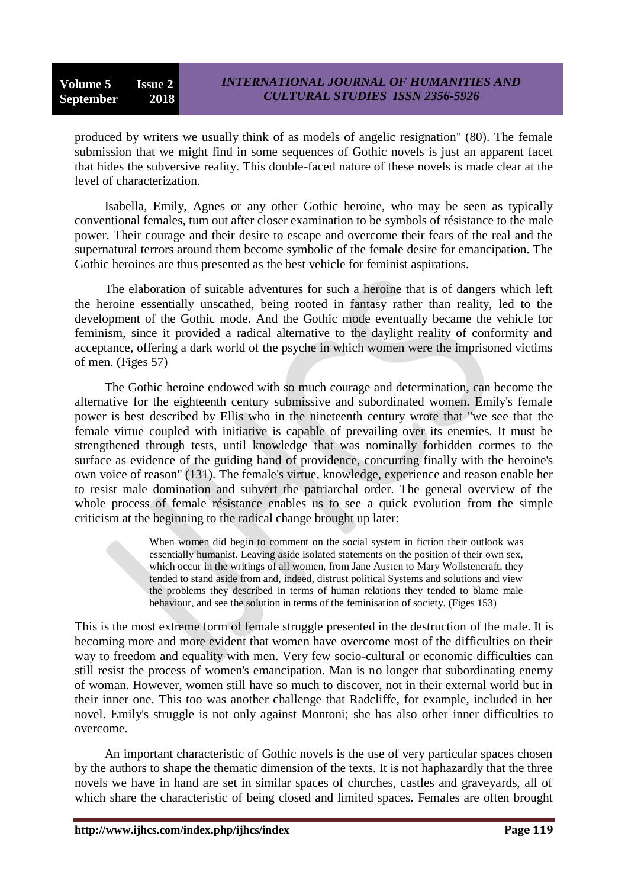produced by writers we usually think of as models of angelic resignation" (80). The female submission that we might find in some sequences of Gothic novels is just an apparent facet that hides the subversive reality. This double-faced nature of these novels is made clear at the level of characterization.

Isabella, Emily, Agnes or any other Gothic heroine, who may be seen as typically conventional females, tum out after closer examination to be symbols of résistance to the male power. Their courage and their desire to escape and overcome their fears of the real and the supernatural terrors around them become symbolic of the female desire for emancipation. The Gothic heroines are thus presented as the best vehicle for feminist aspirations.

The elaboration of suitable adventures for such a heroine that is of dangers which left the heroine essentially unscathed, being rooted in fantasy rather than reality, led to the development of the Gothic mode. And the Gothic mode eventually became the vehicle for feminism, since it provided a radical alternative to the daylight reality of conformity and acceptance, offering a dark world of the psyche in which women were the imprisoned victims of men. (Figes 57)

The Gothic heroine endowed with so much courage and determination, can become the alternative for the eighteenth century submissive and subordinated women. Emily's female power is best described by Ellis who in the nineteenth century wrote that "we see that the female virtue coupled with initiative is capable of prevailing over its enemies. It must be strengthened through tests, until knowledge that was nominally forbidden cormes to the surface as evidence of the guiding hand of providence, concurring finally with the heroine's own voice of reason" (131). The female's virtue, knowledge, experience and reason enable her to resist male domination and subvert the patriarchal order. The general overview of the whole process of female résistance enables us to see a quick evolution from the simple criticism at the beginning to the radical change brought up later:

> When women did begin to comment on the social system in fiction their outlook was essentially humanist. Leaving aside isolated statements on the position of their own sex, which occur in the writings of all women, from Jane Austen to Mary Wollstencraft, they tended to stand aside from and, indeed, distrust political Systems and solutions and view the problems they described in terms of human relations they tended to blame male behaviour, and see the solution in terms of the feminisation of society. (Figes 153)

This is the most extreme form of female struggle presented in the destruction of the male. It is becoming more and more evident that women have overcome most of the difficulties on their way to freedom and equality with men. Very few socio-cultural or economic difficulties can still resist the process of women's emancipation. Man is no longer that subordinating enemy of woman. However, women still have so much to discover, not in their external world but in their inner one. This too was another challenge that Radcliffe, for example, included in her novel. Emily's struggle is not only against Montoni; she has also other inner difficulties to overcome.

An important characteristic of Gothic novels is the use of very particular spaces chosen by the authors to shape the thematic dimension of the texts. It is not haphazardly that the three novels we have in hand are set in similar spaces of churches, castles and graveyards, all of which share the characteristic of being closed and limited spaces. Females are often brought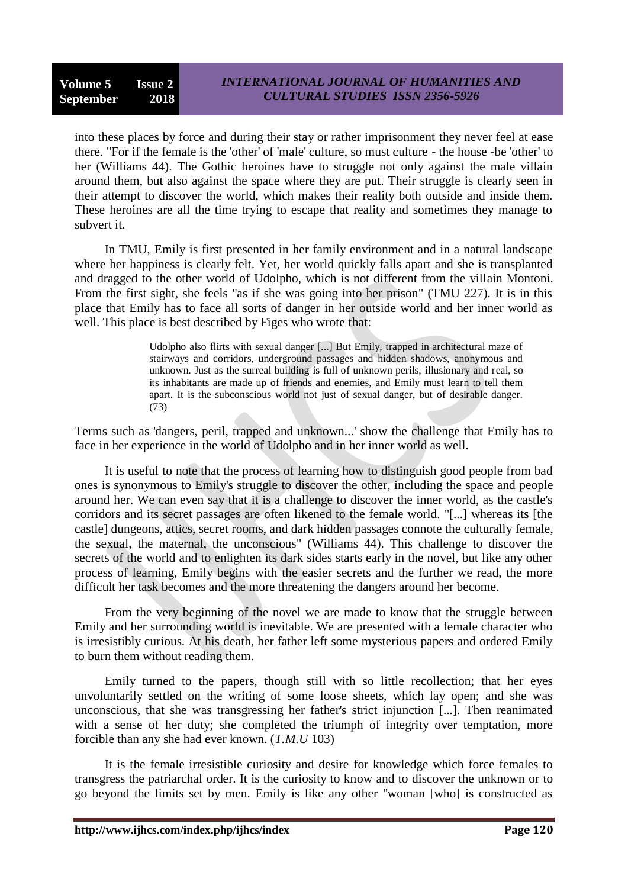into these places by force and during their stay or rather imprisonment they never feel at ease there. "For if the female is the 'other' of 'male' culture, so must culture - the house -be 'other' to her (Williams 44). The Gothic heroines have to struggle not only against the male villain around them, but also against the space where they are put. Their struggle is clearly seen in their attempt to discover the world, which makes their reality both outside and inside them. These heroines are all the time trying to escape that reality and sometimes they manage to subvert it.

In TMU, Emily is first presented in her family environment and in a natural landscape where her happiness is clearly felt. Yet, her world quickly falls apart and she is transplanted and dragged to the other world of Udolpho, which is not different from the villain Montoni. From the first sight, she feels "as if she was going into her prison" (TMU 227). It is in this place that Emily has to face all sorts of danger in her outside world and her inner world as well. This place is best described by Figes who wrote that:

> Udolpho also flirts with sexual danger [...] But Emily, trapped in architectural maze of stairways and corridors, underground passages and hidden shadows, anonymous and unknown. Just as the surreal building is full of unknown perils, illusionary and real, so its inhabitants are made up of friends and enemies, and Emily must learn to tell them apart. It is the subconscious world not just of sexual danger, but of desirable danger. (73)

Terms such as 'dangers, peril, trapped and unknown...' show the challenge that Emily has to face in her experience in the world of Udolpho and in her inner world as well.

It is useful to note that the process of learning how to distinguish good people from bad ones is synonymous to Emily's struggle to discover the other, including the space and people around her. We can even say that it is a challenge to discover the inner world, as the castle's corridors and its secret passages are often likened to the female world. "[...] whereas its [the castle] dungeons, attics, secret rooms, and dark hidden passages connote the culturally female, the sexual, the maternal, the unconscious" (Williams 44). This challenge to discover the secrets of the world and to enlighten its dark sides starts early in the novel, but like any other process of learning, Emily begins with the easier secrets and the further we read, the more difficult her task becomes and the more threatening the dangers around her become.

From the very beginning of the novel we are made to know that the struggle between Emily and her surrounding world is inevitable. We are presented with a female character who is irresistibly curious. At his death, her father left some mysterious papers and ordered Emily to burn them without reading them.

Emily turned to the papers, though still with so little recollection; that her eyes unvoluntarily settled on the writing of some loose sheets, which lay open; and she was unconscious, that she was transgressing her father's strict injunction [...]. Then reanimated with a sense of her duty; she completed the triumph of integrity over temptation, more forcible than any she had ever known. (*T.M.U* 103)

It is the female irresistible curiosity and desire for knowledge which force females to transgress the patriarchal order. It is the curiosity to know and to discover the unknown or to go beyond the limits set by men. Emily is like any other "woman [who] is constructed as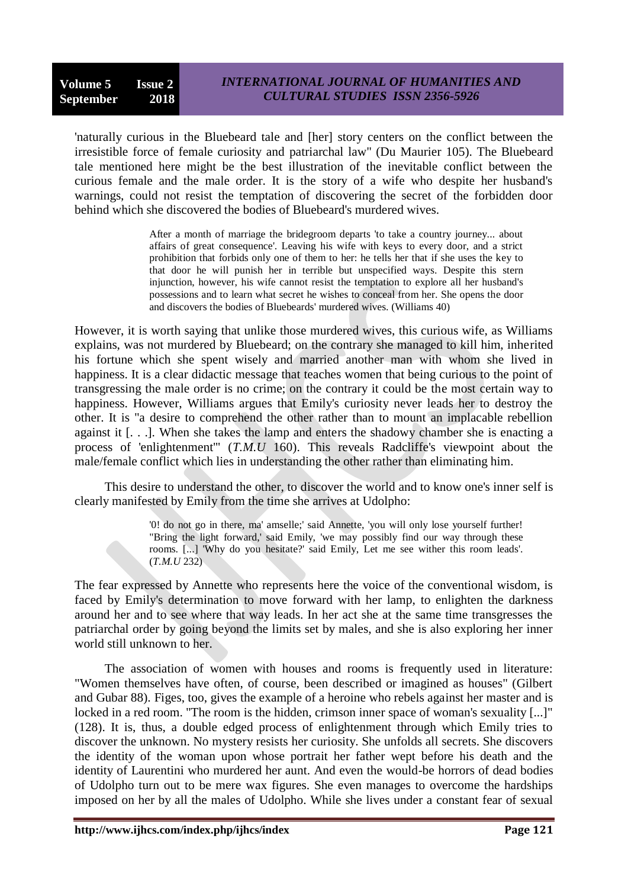'naturally curious in the Bluebeard tale and [her] story centers on the conflict between the irresistible force of female curiosity and patriarchal law" (Du Maurier 105). The Bluebeard tale mentioned here might be the best illustration of the inevitable conflict between the curious female and the male order. It is the story of a wife who despite her husband's warnings, could not resist the temptation of discovering the secret of the forbidden door behind which she discovered the bodies of Bluebeard's murdered wives.

> After a month of marriage the bridegroom departs 'to take a country journey... about affairs of great consequence'. Leaving his wife with keys to every door, and a strict prohibition that forbids only one of them to her: he tells her that if she uses the key to that door he will punish her in terrible but unspecified ways. Despite this stern injunction, however, his wife cannot resist the temptation to explore all her husband's possessions and to learn what secret he wishes to conceal from her. She opens the door and discovers the bodies of Bluebeards' murdered wives. (Williams 40)

However, it is worth saying that unlike those murdered wives, this curious wife, as Williams explains, was not murdered by Bluebeard; on the contrary she managed to kill him, inherited his fortune which she spent wisely and married another man with whom she lived in happiness. It is a clear didactic message that teaches women that being curious to the point of transgressing the male order is no crime; on the contrary it could be the most certain way to happiness. However, Williams argues that Emily's curiosity never leads her to destroy the other. It is "a desire to comprehend the other rather than to mount an implacable rebellion against it [. . .]. When she takes the lamp and enters the shadowy chamber she is enacting a process of 'enlightenment'" (*T.M.U* 160). This reveals Radcliffe's viewpoint about the male/female conflict which lies in understanding the other rather than eliminating him.

This desire to understand the other, to discover the world and to know one's inner self is clearly manifested by Emily from the time she arrives at Udolpho:

> '0! do not go in there, ma' amselle;' said Annette, 'you will only lose yourself further! "Bring the light forward,' said Emily, 'we may possibly find our way through these rooms. [...] 'Why do you hesitate?' said Emily, Let me see wither this room leads'. (*T.M.U* 232)

The fear expressed by Annette who represents here the voice of the conventional wisdom, is faced by Emily's determination to move forward with her lamp, to enlighten the darkness around her and to see where that way leads. In her act she at the same time transgresses the patriarchal order by going beyond the limits set by males, and she is also exploring her inner world still unknown to her.

The association of women with houses and rooms is frequently used in literature: "Women themselves have often, of course, been described or imagined as houses" (Gilbert and Gubar 88). Figes, too, gives the example of a heroine who rebels against her master and is locked in a red room. "The room is the hidden, crimson inner space of woman's sexuality [...]" (128). It is, thus, a double edged process of enlightenment through which Emily tries to discover the unknown. No mystery resists her curiosity. She unfolds all secrets. She discovers the identity of the woman upon whose portrait her father wept before his death and the identity of Laurentini who murdered her aunt. And even the would-be horrors of dead bodies of Udolpho turn out to be mere wax figures. She even manages to overcome the hardships imposed on her by all the males of Udolpho. While she lives under a constant fear of sexual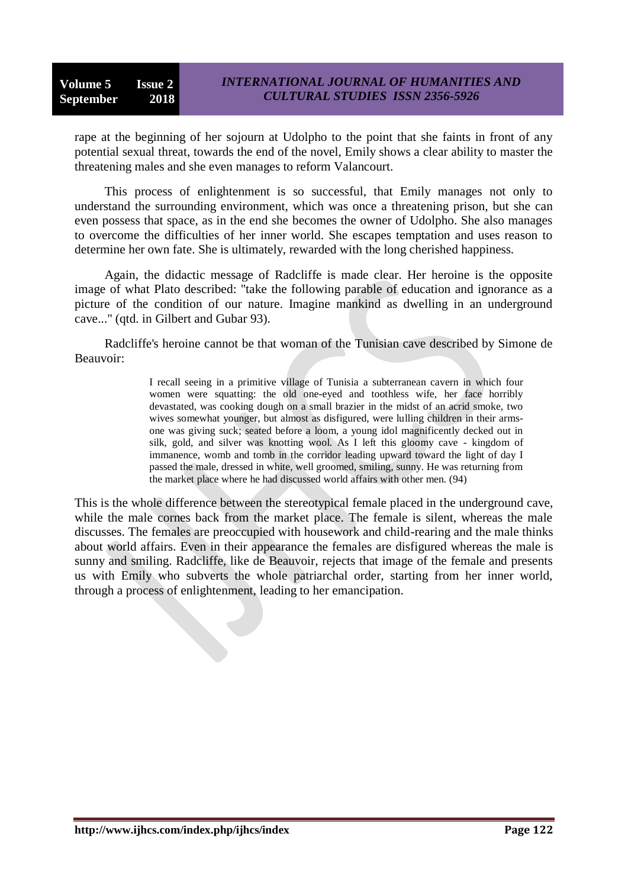rape at the beginning of her sojourn at Udolpho to the point that she faints in front of any potential sexual threat, towards the end of the novel, Emily shows a clear ability to master the threatening males and she even manages to reform Valancourt.

This process of enlightenment is so successful, that Emily manages not only to understand the surrounding environment, which was once a threatening prison, but she can even possess that space, as in the end she becomes the owner of Udolpho. She also manages to overcome the difficulties of her inner world. She escapes temptation and uses reason to determine her own fate. She is ultimately, rewarded with the long cherished happiness.

Again, the didactic message of Radcliffe is made clear. Her heroine is the opposite image of what Plato described: "take the following parable of education and ignorance as a picture of the condition of our nature. Imagine mankind as dwelling in an underground cave..." (qtd. in Gilbert and Gubar 93).

Radcliffe's heroine cannot be that woman of the Tunisian cave described by Simone de Beauvoir:

> I recall seeing in a primitive village of Tunisia a subterranean cavern in which four women were squatting: the old one-eyed and toothless wife, her face horribly devastated, was cooking dough on a small brazier in the midst of an acrid smoke, two wives somewhat younger, but almost as disfigured, were lulling children in their armsone was giving suck; seated before a loom, a young idol magnificently decked out in silk, gold, and silver was knotting wool. As I left this gloomy cave - kingdom of immanence, womb and tomb in the corridor leading upward toward the light of day I passed the male, dressed in white, well groomed, smiling, sunny. He was returning from the market place where he had discussed world affairs with other men. (94)

This is the whole difference between the stereotypical female placed in the underground cave, while the male cornes back from the market place. The female is silent, whereas the male discusses. The females are preoccupied with housework and child-rearing and the male thinks about world affairs. Even in their appearance the females are disfigured whereas the male is sunny and smiling. Radcliffe, like de Beauvoir, rejects that image of the female and presents us with Emily who subverts the whole patriarchal order, starting from her inner world, through a process of enlightenment, leading to her emancipation.